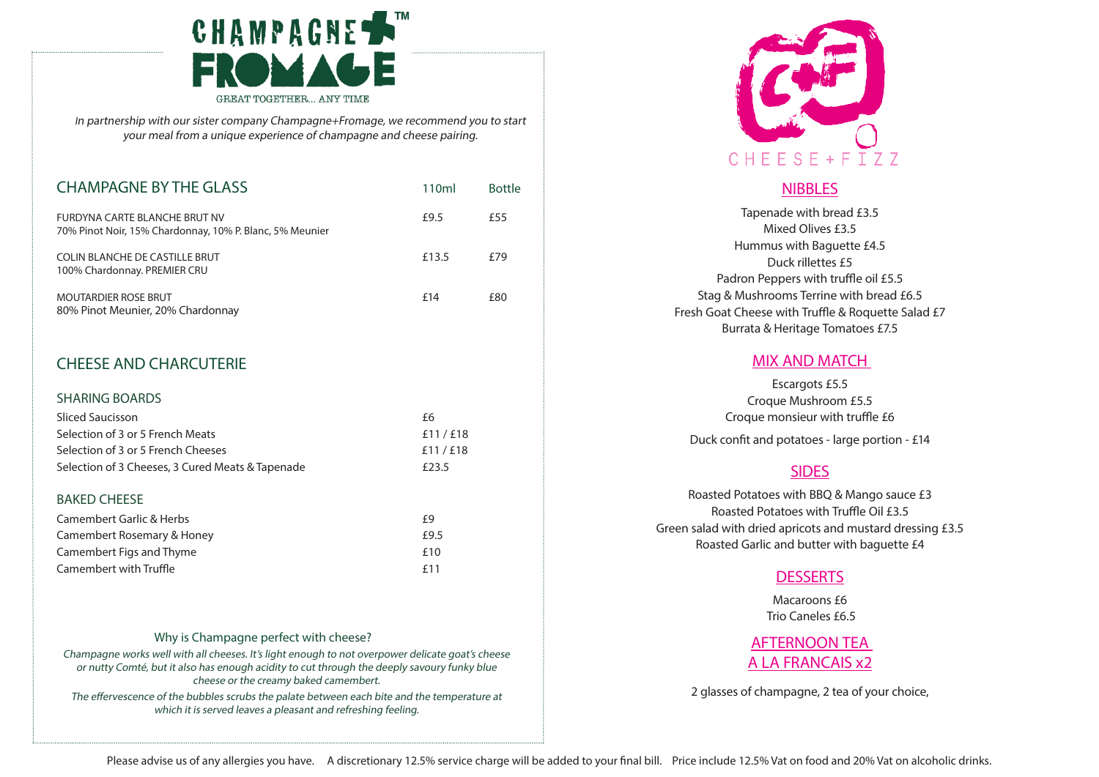

<sup>I</sup>n partnership with our sister company Champagne+Fromage, we recommend you to start your meal from a unique experience of champagne and cheese pairing.

| <b>CHAMPAGNE BY THE GLASS</b>                                                             | 110ml | <b>Bottle</b> |
|-------------------------------------------------------------------------------------------|-------|---------------|
| FURDYNA CARTE BLANCHE BRUT NV<br>70% Pinot Noir, 15% Chardonnay, 10% P. Blanc, 5% Meunier | £9.5  | £55           |
| COLIN BLANCHE DE CASTILLE BRUT<br>100% Chardonnay. PREMIER CRU                            | £13.5 | £79           |
| <b>MOUTARDIER ROSE BRUT</b><br>80% Pinot Meunier, 20% Chardonnay                          | f 14  | £80           |

# CHEESE AND CHARCUTERIE

| <b>SHARING BOARDS</b>                            |           |  |  |
|--------------------------------------------------|-----------|--|--|
| <b>Sliced Saucisson</b>                          | £6        |  |  |
| Selection of 3 or 5 French Meats                 | £11/E18   |  |  |
| Selection of 3 or 5 French Cheeses               | £11 / £18 |  |  |
| Selection of 3 Cheeses, 3 Cured Meats & Tapenade | £23.5     |  |  |
|                                                  |           |  |  |
| <b>BAKED CHEESE</b>                              |           |  |  |
| <b>Camembert Garlic &amp; Herbs</b>              | f9        |  |  |
| Camembert Rosemary & Honey                       | £9.5      |  |  |

| Camembert Rosemary & Honey | £9.5  |
|----------------------------|-------|
| Camembert Figs and Thyme   | f10   |
| Camembert with Truffle     | f 1 1 |

### Why is Champagne perfect with cheese?

Champagne works well with all cheeses. It's light enough to not overpower delicate goat's cheese or nutty Comté, but it also has enough acidity to cut through the deeply savoury funky blue cheese or the creamy baked camembert.

The effervescence of the bubbles scrubs the palate between each bite and the temperature at which it is served leaves a pleasant and refreshing feeling.



# **NIBBLES**

Tapenade with bread £3.5 Mixed Olives £3.5 Hummus with Baguette £4.5 Duck rillettes £5 Padron Peppers with truffle oil £5.5 Stag & Mushrooms Terrine with bread £6.5 Fresh Goat Cheese with Truffle & Roquette Salad £7 Burrata & Heritage Tomatoes £7.5

### MIX AND MATCH

Escargots £5.5 Croque Mushroom £5.5 Croque monsieur with truffle £6 Duck confit and potatoes - large portion - £14

## SIDES

Roasted Potatoes with BBQ & Mango sauce £3 Roasted Potatoes with Truffle Oil £3.5 Green salad with dried apricots and mustard dressing £3.5 Roasted Garlic and butter with baguette £4

## **DESSERTS**

Macaroons £6 Trio Caneles £6.5

# AFTERNOON TEA A LA FRANCAIS x2

2 glasses of champagne, 2 tea of your choice,